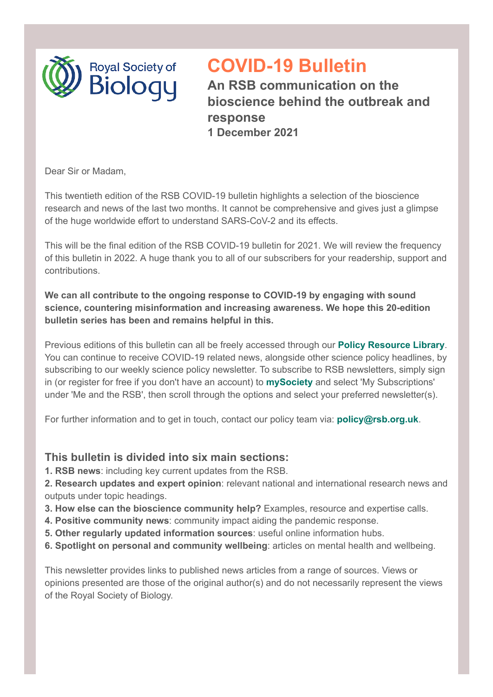

# **COVID-19 Bulletin**

**An RSB communication on the bioscience behind the outbreak and response 1 December 2021**

Dear Sir or Madam,

This twentieth edition of the RSB COVID-19 bulletin highlights a selection of the bioscience research and news of the last two months. It cannot be comprehensive and gives just a glimpse of the huge worldwide effort to understand SARS-CoV-2 and its effects.

This will be the final edition of the RSB COVID-19 bulletin for 2021. We will review the frequency of this bulletin in 2022. A huge thank you to all of our subscribers for your readership, support and contributions.

**We can all contribute to the ongoing response to COVID-19 by engaging with sound science, countering misinformation and increasing awareness. We hope this 20-edition bulletin series has been and remains helpful in this.**

Previous editions of this bulletin can all be freely accessed through our **[Policy Resource Library](https://my.rsb.org.uk/item.php?orgresourceid=1)**. You can continue to receive COVID-19 related news, alongside other science policy headlines, by subscribing to our weekly science policy newsletter. To subscribe to RSB newsletters, simply sign in (or register for free if you don't have an account) to **[mySociety](https://my.rsb.org.uk/)** and select 'My Subscriptions' under 'Me and the RSB', then scroll through the options and select your preferred newsletter(s).

For further information and to get in touch, contact our policy team via: **[policy@rsb.org.uk](mailto:policy@rsb.org.uk)**.

## **This bulletin is divided into six main sections:**

**1. RSB news**: including key current updates from the RSB.

**2. Research updates and expert opinion**: relevant national and international research news and outputs under topic headings.

- **3. How else can the bioscience community help?** Examples, resource and expertise calls.
- **4. Positive community news**: community impact aiding the pandemic response.
- **5. Other regularly updated information sources**: useful online information hubs.
- **6. Spotlight on personal and community wellbeing**: articles on mental health and wellbeing.

This newsletter provides links to published news articles from a range of sources. Views or opinions presented are those of the original author(s) and do not necessarily represent the views of the Royal Society of Biology.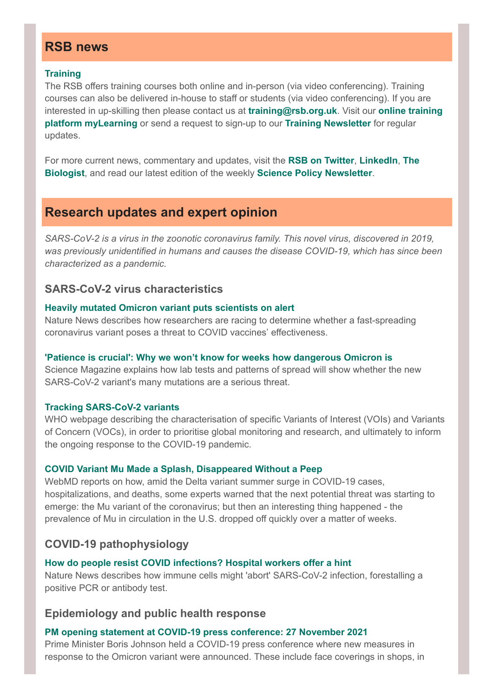## **RSB news**

#### **[Training](https://www.rsb.org.uk/careers-and-cpd/training)**

The RSB offers training courses both online and in-person (via video conferencing). Training courses can also be delivered in-house to staff or students (via video conferencing). If you are [interested in up-skilling then please contact us at](https://learn.rsb.org.uk/) **[training@rsb.org.uk](mailto:training@rsb.org.uk)**. Visit our **online training platform myLearning** or send a request to sign-up to our **[Training Newsletter](mailto:training@rsb.org.uk)** for regular updates.

[For more current news, commentary and updates, visit the](https://thebiologist.rsb.org.uk/) **[RSB on Twitter](https://twitter.com/RoyalSocBio)**, **[LinkedIn](https://www.linkedin.com/company/royalsocbio/)**, **The Biologist**, and read our latest edition of the weekly **[Science Policy Newsletter](https://www.rsb.org.uk/policy/policy-resources/policy-newsletter)**.

# **Research updates and expert opinion**

*SARS-CoV-2 is a virus in the zoonotic coronavirus family. This novel virus, discovered in 2019, was previously unidentified in humans and causes the disease COVID-19, which has since been characterized as a pandemic.*

## **SARS-CoV-2 virus characteristics**

#### **[Heavily mutated Omicron variant puts scientists on alert](https://www.nature.com/articles/d41586-021-03552-w)**

Nature News describes how researchers are racing to determine whether a fast-spreading coronavirus variant poses a threat to COVID vaccines' effectiveness.

#### **['Patience is crucial': Why we won't know for weeks how dangerous Omicron is](https://www.science.org/content/article/patience-crucial-why-we-won-t-know-weeks-how-dangerous-omicron)**

Science Magazine explains how lab tests and patterns of spread will show whether the new SARS-CoV-2 variant's many mutations are a serious threat.

#### **[Tracking SARS-CoV-2 variants](https://www.who.int/en/activities/tracking-SARS-CoV-2-variants/)**

WHO webpage describing the characterisation of specific Variants of Interest (VOIs) and Variants of Concern (VOCs), in order to prioritise global monitoring and research, and ultimately to inform the ongoing response to the COVID-19 pandemic.

#### **[COVID Variant Mu Made a Splash, Disappeared Without a Peep](https://www.webmd.com/lung/news/20211006/mu-made-splash-disappeared-quietly)**

WebMD reports on how, amid the Delta variant summer surge in COVID-19 cases, hospitalizations, and deaths, some experts warned that the next potential threat was starting to emerge: the Mu variant of the coronavirus; but then an interesting thing happened - the prevalence of Mu in circulation in the U.S. dropped off quickly over a matter of weeks.

## **COVID-19 pathophysiology**

#### **[How do people resist COVID infections? Hospital workers offer a hint](https://www.nature.com/articles/d41586-021-03110-4)**

Nature News describes how immune cells might 'abort' SARS-CoV-2 infection, forestalling a positive PCR or antibody test.

## **Epidemiology and public health response**

#### **[PM opening statement at COVID-19 press conference: 27 November 2021](https://www.gov.uk/government/speeches/pm-opening-statement-at-covid-19-press-conference-27-november-2021)**

Prime Minister Boris Johnson held a COVID-19 press conference where new measures in response to the Omicron variant were announced. These include face coverings in shops, in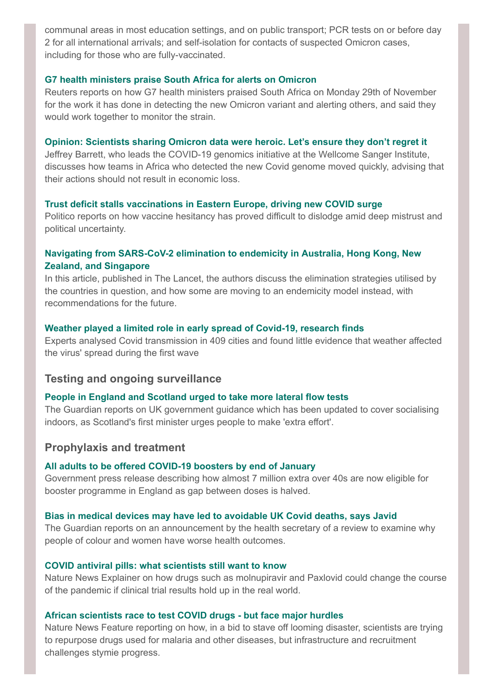communal areas in most education settings, and on public transport; PCR tests on or before day 2 for all international arrivals; and self-isolation for contacts of suspected Omicron cases, including for those who are fully-vaccinated.

#### **[G7 health ministers praise South Africa for alerts on Omicron](https://www.reuters.com/world/g7-health-ministers-praise-south-africa-alerts-omicron-2021-11-29/)**

Reuters reports on how G7 health ministers praised South Africa on Monday 29th of November for the work it has done in detecting the new Omicron variant and alerting others, and said they would work together to monitor the strain.

#### **[Opinion: Scientists sharing Omicron data were heroic. Let's ensure they don't regret it](https://www.theguardian.com/commentisfree/2021/nov/28/scientists-sharing-omicron-date-were-heroic-lets-ensure-they-dont-regret-it)**

Jeffrey Barrett, who leads the COVID-19 genomics initiative at the Wellcome Sanger Institute, discusses how teams in Africa who detected the new Covid genome moved quickly, advising that their actions should not result in economic loss.

#### **[Trust deficit stalls vaccinations in Eastern Europe, driving new COVID surge](https://www.politico.eu/article/covid-vaccination-eastern-europe-trust-fourth-wave-vaccine/)**

Politico reports on how vaccine hesitancy has proved difficult to dislodge amid deep mistrust and political uncertainty.

## **[Navigating from SARS-CoV-2 elimination to endemicity in Australia, Hong Kong, New](https://www.thelancet.com/journals/lancet/article/PIIS0140-6736(21)02186-3/fulltext#%20) Zealand, and Singapore**

In this article, published in The Lancet, the authors discuss the elimination strategies utilised by the countries in question, and how some are moving to an endemicity model instead, with recommendations for the future.

#### **[Weather played a limited role in early spread of Covid-19, research finds](https://www.telegraph.co.uk/global-health/science-and-disease/weather-played-limited-role-early-spread-covid-19-research-finds/)**

Experts analysed Covid transmission in 409 cities and found little evidence that weather affected the virus' spread during the first wave

#### **Testing and ongoing surveillance**

#### **[People in England and Scotland urged to take more lateral flow tests](https://www.theguardian.com/uk-news/2021/nov/23/people-in-england-and-scotland-urged-to-take-more-lateral-flow-tests)**

The Guardian reports on UK government guidance which has been updated to cover socialising indoors, as Scotland's first minister urges people to make 'extra effort'.

## **Prophylaxis and treatment**

#### **[All adults to be offered COVID-19 boosters by end of January](https://www.gov.uk/government/news/all-adults-to-be-offered-covid-19-boosters-by-end-of-january)**

Government press release describing how almost 7 million extra over 40s are now eligible for booster programme in England as gap between doses is halved.

#### **[Bias in medical devices may have led to avoidable UK Covid deaths, says Javid](https://www.theguardian.com/society/2021/nov/21/sajid-javid-announces-review-racism-bias-medical-devices)**

The Guardian reports on an announcement by the health secretary of a review to examine why people of colour and women have worse health outcomes.

#### **[COVID antiviral pills: what scientists still want to know](https://www.nature.com/articles/d41586-021-03074-5)**

Nature News Explainer on how drugs such as molnupiravir and Paxlovid could change the course of the pandemic if clinical trial results hold up in the real world.

#### **[African scientists race to test COVID drugs](https://www.nature.com/articles/d41586-021-02995-5) - but face major hurdles**

Nature News Feature reporting on how, in a bid to stave off looming disaster, scientists are trying to repurpose drugs used for malaria and other diseases, but infrastructure and recruitment challenges stymie progress.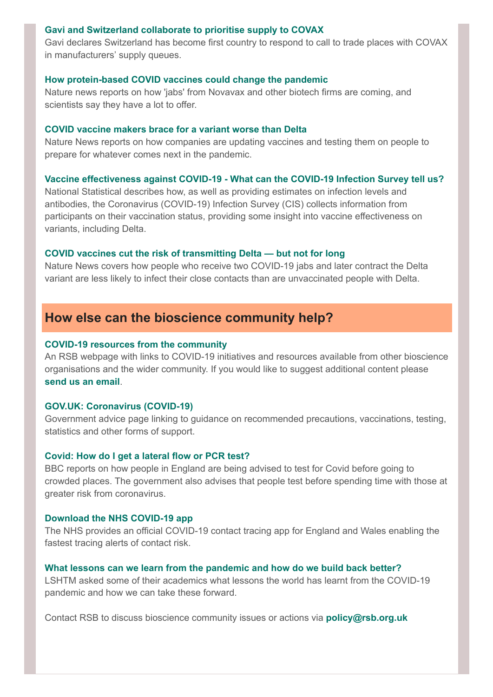#### **[Gavi and Switzerland collaborate to prioritise supply to COVAX](https://www.gavi.org/news/media-room/gavi-and-switzerland-collaborate-prioritise-supply-covax)**

Gavi declares Switzerland has become first country to respond to call to trade places with COVAX in manufacturers' supply queues.

#### **[How protein-based COVID vaccines could change the pandemic](https://www.nature.com/articles/d41586-021-03025-0)**

Nature news reports on how 'jabs' from Novavax and other biotech firms are coming, and scientists say they have a lot to offer.

#### **[COVID vaccine makers brace for a variant worse than Delta](https://www.nature.com/articles/d41586-021-02854-3)**

Nature News reports on how companies are updating vaccines and testing them on people to prepare for whatever comes next in the pandemic.

#### **Vaccine effectiveness against COVID-19 [- What can the COVID-19 Infection Survey tell us?](https://blog.ons.gov.uk/2021/10/18/vaccine-effectiveness-against-covid-19-what-can-the-covid-19-infection-survey-tell-us/)**

National Statistical describes how, as well as providing estimates on infection levels and antibodies, the Coronavirus (COVID-19) Infection Survey (CIS) collects information from participants on their vaccination status, providing some insight into vaccine effectiveness on variants, including Delta.

#### **[COVID vaccines cut the risk of transmitting Delta — but not for long](https://www.nature.com/articles/d41586-021-02689-y)**

Nature News covers how people who receive two COVID-19 jabs and later contract the Delta variant are less likely to infect their close contacts than are unvaccinated people with Delta.

## **How else can the bioscience community help?**

#### **[COVID-19 resources from the community](https://www.rsb.org.uk/about-us/covid-19/covid-19-resources-from-our-partners)**

An RSB webpage with links to COVID-19 initiatives and resources available from other bioscience organisations and the wider community. If you would like to suggest additional content please **[send us an email](mailto:policy@rsb.org.uk)**.

#### **[GOV.UK: Coronavirus \(COVID-19\)](https://www.gov.uk/guidance/covid-19-coronavirus-restrictions-what-you-can-and-cannot-do)**

Government advice page linking to guidance on recommended precautions, vaccinations, testing, statistics and other forms of support.

#### **[Covid: How do I get a lateral flow or PCR test?](https://www.bbc.co.uk/news/health-51943612)**

BBC reports on how people in England are being advised to test for Covid before going to crowded places. The government also advises that people test before spending time with those at greater risk from coronavirus.

#### **[Download the NHS COVID-19 app](https://www.nhs.uk/apps-library/nhs-covid-19/)**

The NHS provides an official COVID-19 contact tracing app for England and Wales enabling the fastest tracing alerts of contact risk.

#### **[What lessons can we learn from the pandemic and how do we build back better?](https://www.lshtm.ac.uk/aboutus/alumni/blogs/2021/what-lessons-can-we-learn-pandemic-and-how-do-we-build-back-better)**

LSHTM asked some of their academics what lessons the world has learnt from the COVID-19 pandemic and how we can take these forward.

Contact RSB to discuss bioscience community issues or actions via **[policy@rsb.org.uk](mailto:policy@rsb.org.uk)**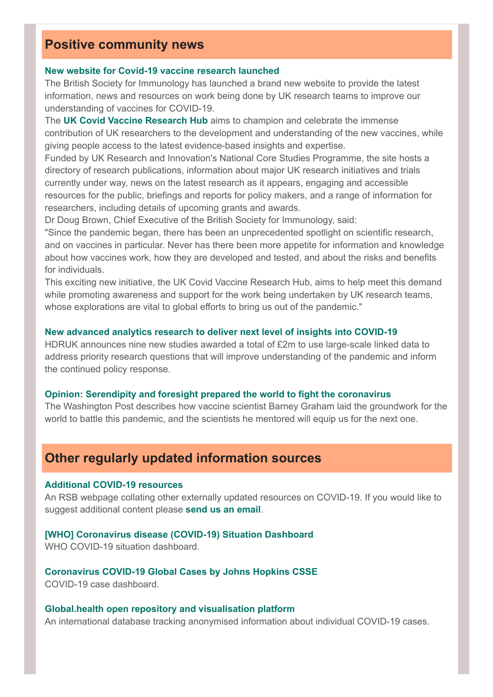# **Positive community news**

#### **[New website for Covid-19 vaccine research launched](https://www.covidvaccineresearch.org/)**

The British Society for Immunology has launched a brand new website to provide the latest information, news and resources on work being done by UK research teams to improve our understanding of vaccines for COVID-19.

The **[UK Covid Vaccine Research Hub](https://www.covidvaccineresearch.org/)** aims to champion and celebrate the immense contribution of UK researchers to the development and understanding of the new vaccines, while giving people access to the latest evidence-based insights and expertise.

Funded by UK Research and Innovation's National Core Studies Programme, the site hosts a directory of research publications, information about major UK research initiatives and trials currently under way, news on the latest research as it appears, engaging and accessible resources for the public, briefings and reports for policy makers, and a range of information for researchers, including details of upcoming grants and awards.

Dr Doug Brown, Chief Executive of the British Society for Immunology, said:

"Since the pandemic began, there has been an unprecedented spotlight on scientific research, and on vaccines in particular. Never has there been more appetite for information and knowledge about how vaccines work, how they are developed and tested, and about the risks and benefits for individuals.

This exciting new initiative, the UK Covid Vaccine Research Hub, aims to help meet this demand while promoting awareness and support for the work being undertaken by UK research teams, whose explorations are vital to global efforts to bring us out of the pandemic."

#### **[New advanced analytics research to deliver next level of insights into COVID-19](https://www.hdruk.ac.uk/news/new-advanced-analytics-research-to-deliver-next-level-of-insights-into-covid-19/)**

HDRUK announces nine new studies awarded a total of £2m to use large-scale linked data to address priority research questions that will improve understanding of the pandemic and inform the continued policy response.

#### **[Opinion: Serendipity and foresight prepared the world to fight the coronavirus](https://www.washingtonpost.com/s/health/2021/10/01/barney-graham-covid-vaccines/)**

The Washington Post describes how vaccine scientist Barney Graham laid the groundwork for the world to battle this pandemic, and the scientists he mentored will equip us for the next one.

## **Other regularly updated information sources**

### **[Additional COVID-19 resources](https://www.rsb.org.uk/about-us/covid-19/additional-covid-19-resources)**

An RSB webpage collating other externally updated resources on COVID-19. If you would like to suggest additional content please **[send us an email](mailto:policy@rsb.org.uk)**.

#### **[\[WHO\] Coronavirus disease \(COVID-19\) Situation Dashboard](https://covid19.who.int/)** WHO COVID-19 situation dashboard.

**[Coronavirus COVID-19 Global Cases by Johns Hopkins CSSE](https://gisanddata.maps.arcgis.com/apps/opsdashboard/index.html#/bda7594740fd40299423467b48e9ecf6)** COVID-19 case dashboard.

## **[Global.health open repository and visualisation platform](https://global.health/)**

An international database tracking anonymised information about individual COVID-19 cases.